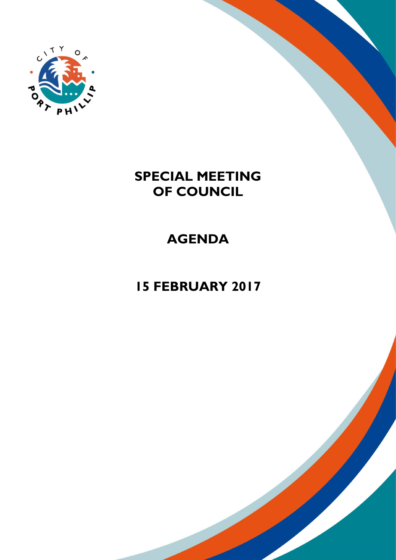

# **SPECIAL MEETING OF COUNCIL**

# **AGENDA**

# **15 FEBRUARY 2017**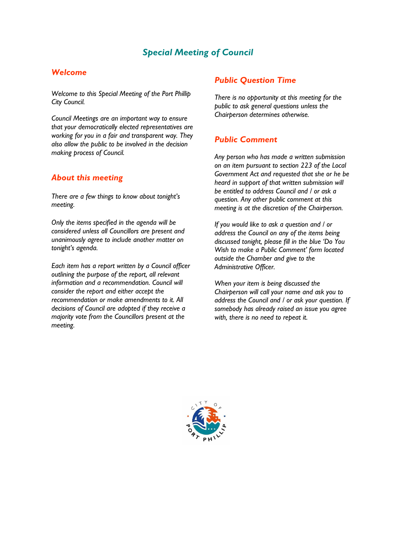## *Special Meeting of Council*

### *Welcome*

*Welcome to this Special Meeting of the Port Phillip City Council.*

*Council Meetings are an important way to ensure that your democratically elected representatives are working for you in a fair and transparent way. They also allow the public to be involved in the decision making process of Council.*

### *About this meeting*

*There are a few things to know about tonight's meeting.* 

*Only the items specified in the agenda will be considered unless all Councillors are present and unanimously agree to include another matter on tonight's agenda.* 

*Each item has a report written by a Council officer outlining the purpose of the report, all relevant information and a recommendation. Council will consider the report and either accept the recommendation or make amendments to it. All decisions of Council are adopted if they receive a majority vote from the Councillors present at the meeting.*

### *Public Question Time*

*There is no opportunity at this meeting for the public to ask general questions unless the Chairperson determines otherwise.* 

### *Public Comment*

*Any person who has made a written submission on an item pursuant to section 223 of the Local Government Act and requested that she or he be heard in support of that written submission will be entitled to address Council and / or ask a question. Any other public comment at this meeting is at the discretion of the Chairperson.* 

*If you would like to ask a question and / or address the Council on any of the items being discussed tonight, please fill in the blue 'Do You Wish to make a Public Comment' form located outside the Chamber and give to the Administrative Officer.* 

*When your item is being discussed the Chairperson will call your name and ask you to address the Council and / or ask your question. If somebody has already raised an issue you agree with, there is no need to repeat it.* 

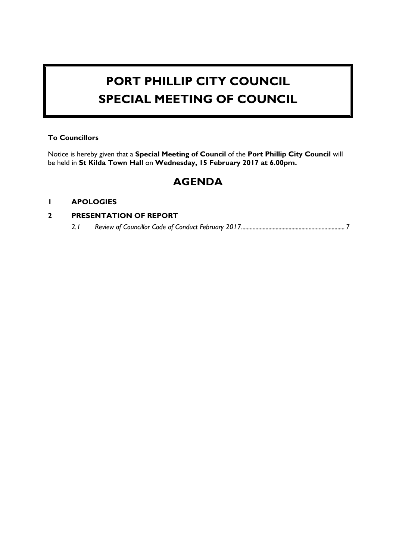# **PORT PHILLIP CITY COUNCIL SPECIAL MEETING OF COUNCIL**

#### **To Councillors**

Notice is hereby given that a **Special Meeting of Council** of the **Port Phillip City Council** will be held in **St Kilda Town Hall** on **Wednesday, 15 February 2017 at 6.00pm.**

## **AGENDA**

#### **1 APOLOGIES**

### **2 PRESENTATION OF REPORT**

*2.1 Review of Councillor Code of Conduct February 2017.......................................................................[.7](#page-4-0)*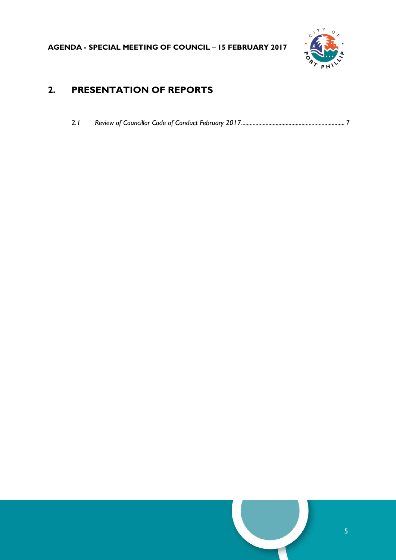

## **2. PRESENTATION OF REPORTS**

| 2.1 |  |  |  |  |
|-----|--|--|--|--|
|     |  |  |  |  |

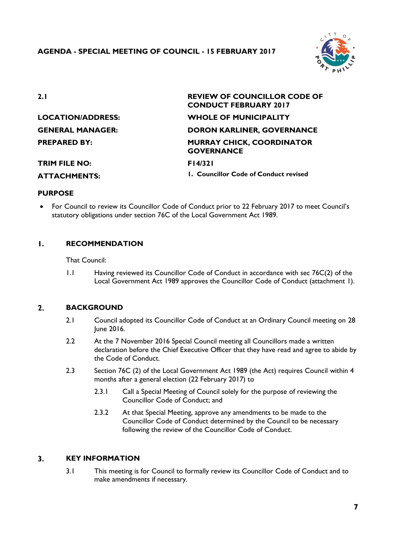

<span id="page-4-0"></span>

| 2.1                     | <b>REVIEW OF COUNCILLOR CODE OF</b><br><b>CONDUCT FEBRUARY 2017</b> |
|-------------------------|---------------------------------------------------------------------|
| LOCATION/ADDRESS:       | <b>WHOLE OF MUNICIPALITY</b>                                        |
| <b>GENERAL MANAGER:</b> | <b>DORON KARLINER, GOVERNANCE</b>                                   |
| <b>PREPARED BY:</b>     | <b>MURRAY CHICK, COORDINATOR</b><br><b>GOVERNANCE</b>               |
| <b>TRIM FILE NO:</b>    | F14/321                                                             |
| <b>ATTACHMENTS:</b>     | 1. Councillor Code of Conduct revised                               |

#### **PURPOSE**

 For Council to review its Councillor Code of Conduct prior to 22 February 2017 to meet Council's statutory obligations under section 76C of the Local Government Act 1989.

#### $\mathbf{L}$ **RECOMMENDATION**

That Council:

1.1 Having reviewed its Councillor Code of Conduct in accordance with sec 76C(2) of the Local Government Act 1989 approves the Councillor Code of Conduct (attachment 1).

#### $2.$ **BACKGROUND**

- 2.1 Council adopted its Councillor Code of Conduct at an Ordinary Council meeting on 28 June 2016.
- 2.2 At the 7 November 2016 Special Council meeting all Councillors made a written declaration before the Chief Executive Officer that they have read and agree to abide by the Code of Conduct.
- 2.3 Section 76C (2) of the Local Government Act 1989 (the Act) requires Council within 4 months after a general election (22 February 2017) to
	- 2.3.1 Call a Special Meeting of Council solely for the purpose of reviewing the Councillor Code of Conduct; and
	- 2.3.2 At that Special Meeting, approve any amendments to be made to the Councillor Code of Conduct determined by the Council to be necessary following the review of the Councillor Code of Conduct.

#### $\overline{\mathbf{3}}$ . **KEY INFORMATION**

3.1 This meeting is for Council to formally review its Councillor Code of Conduct and to make amendments if necessary.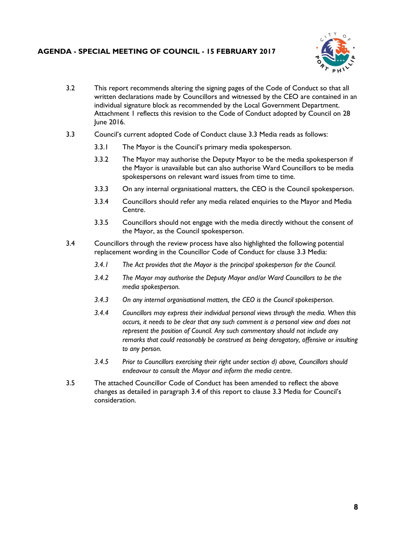### **AGENDA - SPECIAL MEETING OF COUNCIL - 15 FEBRUARY 2017**



- 3.2 This report recommends altering the signing pages of the Code of Conduct so that all written declarations made by Councillors and witnessed by the CEO are contained in an individual signature block as recommended by the Local Government Department. Attachment 1 reflects this revision to the Code of Conduct adopted by Council on 28 June 2016.
- 3.3 Council's current adopted Code of Conduct clause 3.3 Media reads as follows:
	- 3.3.1 The Mayor is the Council's primary media spokesperson.
	- 3.3.2 The Mayor may authorise the Deputy Mayor to be the media spokesperson if the Mayor is unavailable but can also authorise Ward Councillors to be media spokespersons on relevant ward issues from time to time.
	- 3.3.3 On any internal organisational matters, the CEO is the Council spokesperson.
	- 3.3.4 Councillors should refer any media related enquiries to the Mayor and Media Centre.
	- 3.3.5 Councillors should not engage with the media directly without the consent of the Mayor, as the Council spokesperson.
- 3.4 Councillors through the review process have also highlighted the following potential replacement wording in the Councillor Code of Conduct for clause 3.3 Media:
	- *3.4.1 The Act provides that the Mayor is the principal spokesperson for the Council.*
	- *3.4.2 The Mayor may authorise the Deputy Mayor and/or Ward Councillors to be the media spokesperson.*
	- *3.4.3 On any internal organisational matters, the CEO is the Council spokesperson.*
	- *3.4.4 Councillors may express their individual personal views through the media. When this occurs, it needs to be clear that any such comment is a personal view and does not represent the position of Council. Any such commentary should not include any remarks that could reasonably be construed as being derogatory, offensive or insulting to any person.*
	- *3.4.5 Prior to Councillors exercising their right under section d) above, Councillors should endeavour to consult the Mayor and inform the media centre.*
- 3.5 The attached Councillor Code of Conduct has been amended to reflect the above changes as detailed in paragraph 3.4 of this report to clause 3.3 Media for Council's consideration.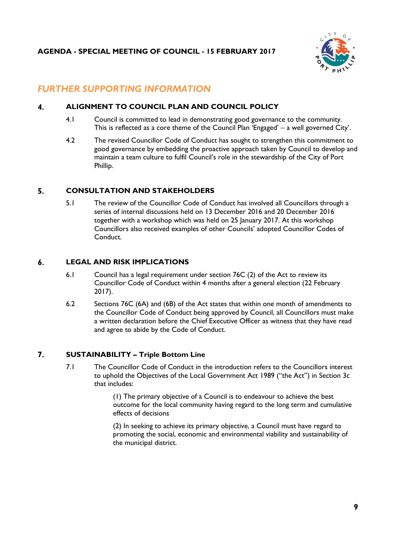

## *FURTHER SUPPORTING INFORMATION*

#### $\overline{\mathbf{4}}$ . **ALIGNMENT TO COUNCIL PLAN AND COUNCIL POLICY**

- 4.1 Council is committed to lead in demonstrating good governance to the community. This is reflected as a core theme of the Council Plan 'Engaged' – a well governed City'.
- 4.2 The revised Councillor Code of Conduct has sought to strengthen this commitment to good governance by embedding the proactive approach taken by Council to develop and maintain a team culture to fulfil Council's role in the stewardship of the City of Port Phillip.

#### $5.$ **CONSULTATION AND STAKEHOLDERS**

5.1 The review of the Councillor Code of Conduct has involved all Councillors through a series of internal discussions held on 13 December 2016 and 20 December 2016 together with a workshop which was held on 25 January 2017. At this workshop Councillors also received examples of other Councils' adopted Councillor Codes of Conduct.

#### $6.$ **LEGAL AND RISK IMPLICATIONS**

- 6.1 Council has a legal requirement under section 76C (2) of the Act to review its Councillor Code of Conduct within 4 months after a general election (22 February 2017).
- 6.2 Sections 76C (6A) and (6B) of the Act states that within one month of amendments to the Councillor Code of Conduct being approved by Council, all Councillors must make a written declaration before the Chief Executive Officer as witness that they have read and agree to abide by the Code of Conduct.

#### $\overline{7}$ . **SUSTAINABILITY – Triple Bottom Line**

7.1 The Councillor Code of Conduct in the introduction refers to the Councillors interest to uphold the Objectives of the Local Government Act 1989 ("the Act") in Section 3c that includes:

> (1) The primary objective of a Council is to endeavour to achieve the best outcome for the local community having regard to the long term and cumulative effects of decisions

(2) In seeking to achieve its primary objective, a Council must have regard to promoting the social, economic and environmental viability and sustainability of the municipal district.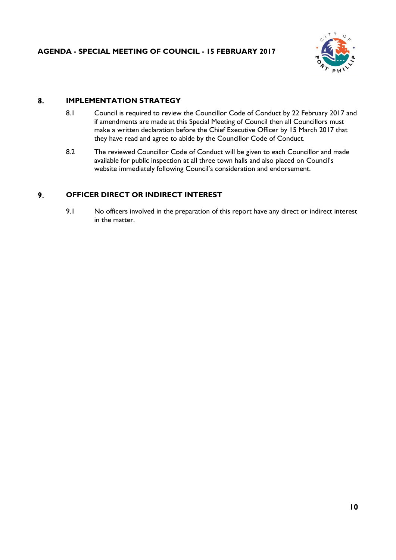

#### 8. **IMPLEMENTATION STRATEGY**

- 8.1 Council is required to review the Councillor Code of Conduct by 22 February 2017 and if amendments are made at this Special Meeting of Council then all Councillors must make a written declaration before the Chief Executive Officer by 15 March 2017 that they have read and agree to abide by the Councillor Code of Conduct.
- 8.2 The reviewed Councillor Code of Conduct will be given to each Councillor and made available for public inspection at all three town halls and also placed on Council's website immediately following Council's consideration and endorsement.

#### 9. **OFFICER DIRECT OR INDIRECT INTEREST**

9.1 No officers involved in the preparation of this report have any direct or indirect interest in the matter.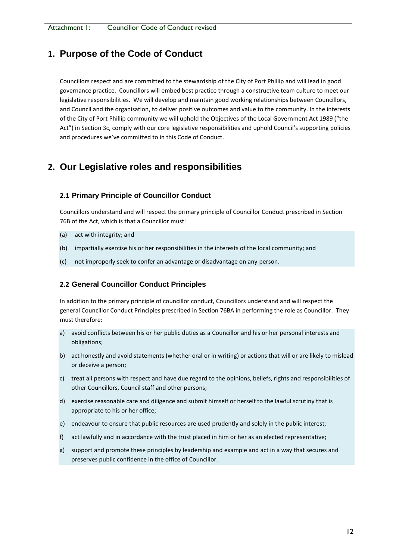### **1. Purpose of the Code of Conduct**

Councillors respect and are committed to the stewardship of the City of Port Phillip and will lead in good governance practice. Councillors will embed best practice through a constructive team culture to meet our legislative responsibilities. We will develop and maintain good working relationships between Councillors, and Council and the organisation, to deliver positive outcomes and value to the community. In the interests of the City of Port Phillip community we will uphold the Objectives of the Local Government Act 1989 ("the Act") in Section 3c, comply with our core legislative responsibilities and uphold Council's supporting policies and procedures we've committed to in this Code of Conduct.

## **2. Our Legislative roles and responsibilities**

#### **2.1 Primary Principle of Councillor Conduct**

Councillors understand and will respect the primary principle of Councillor Conduct prescribed in Section 76B of the Act, which is that a Councillor must:

- (a) act with integrity; and
- (b) impartially exercise his or her responsibilities in the interests of the [local community;](http://www.austlii.edu.au/au/legis/vic/consol_act/lga1989182/s1a.html#local_community) and
- (c) not improperly seek to confer an advantage or disadvantage on any [person.](http://www.austlii.edu.au/au/legis/vic/consol_act/lga1989182/s3.html#person)

#### **2.2 General Councillor Conduct Principles**

In addition to the primary principle of [councillor](http://www.austlii.edu.au/au/legis/vic/consol_act/lga1989182/s3.html#councillor) conduct, [Councillors](http://www.austlii.edu.au/au/legis/vic/consol_act/lga1989182/s3.html#councillor) understand and will respect the general Councillor Conduct Principles prescribed in Section 76BA in performing the role as Councillor. They must therefore:

- a) avoid conflicts between his or her public duties as a [Councillor](http://www.austlii.edu.au/au/legis/vic/consol_act/lga1989182/s3.html#councillor) and his or her [personal](http://www.austlii.edu.au/au/legis/vic/consol_act/lga1989182/s3.html#person) interests and obligations;
- b) act honestly and avoid statements (whether oral or in writing) or actions that will or are likely to mislead or deceive a [person;](http://www.austlii.edu.au/au/legis/vic/consol_act/lga1989182/s3.html#person)
- c) treat all [persons](http://www.austlii.edu.au/au/legis/vic/consol_act/lga1989182/s3.html#person) with respect and have due regard to the opinions, beliefs, rights and responsibilities of other [Councillors,](http://www.austlii.edu.au/au/legis/vic/consol_act/lga1989182/s3.html#councillor) [Council staff](http://www.austlii.edu.au/au/legis/vic/consol_act/lga1989182/s3.html#council_staff) and other [persons;](http://www.austlii.edu.au/au/legis/vic/consol_act/lga1989182/s3.html#person)
- d) exercise reasonable care and diligence and submit himself or herself to the lawful scrutiny that is appropriate to his or her office;
- e) endeavour to ensure that public resources are used prudently and solely in the public interest;
- f) act lawfully and in accordance with the trust placed in him or her as an elected representative;
- g) support and promote these principles by leadership and example and act in a way that secures and preserves public confidence in the office of [Councillor.](http://www.austlii.edu.au/au/legis/vic/consol_act/lga1989182/s3.html#councillor)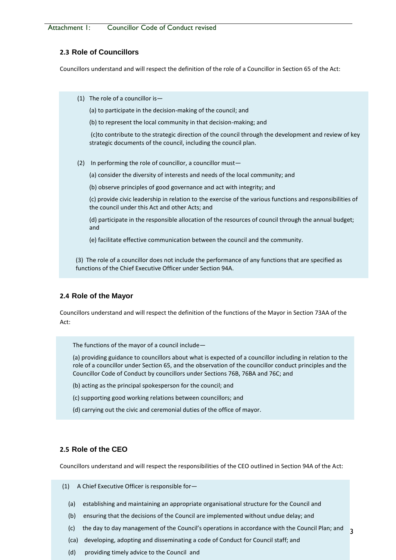Attachment 1: Councillor Code of Conduct revised

#### **2.3 Role of Councillors**

Councillors understand and will respect the definition of the role of a Councillor in Section 65 of the Act:

(1) The role of a councillor is—

(a) to participate in the decision-making of the council; and

(b) to represent the local community in that decision-making; and

(c)to contribute to the strategic direction of the council through the development and review of key strategic documents of the council, including the council plan.

- (2) In performing the role of councillor, a councillor must—
	- (a) consider the diversity of interests and needs of the local community; and
	- (b) observe principles of good governance and act with integrity; and

(c) provide civic leadership in relation to the exercise of the various functions and responsibilities of the council under this Act and other Acts; and

(d) participate in the responsible allocation of the resources of council through the annual budget; and

(e) facilitate effective communication between the council and the community.

(3) The role of a councillor does not include the performance of any functions that are specified as functions of the Chief Executive Officer under Section 94A.

#### **2.4 Role of the Mayor**

Councillors understand and will respect the definition of the functions of the Mayor in Section 73AA of the Act:

The functions of the mayor of a council include—

(a) providing guidance to councillors about what is expected of a councillor including in relation to the role of a councillor under Section 65, and the observation of the councillor conduct principles and the Councillor Code of Conduct by councillors under Sections 76B, 76BA and 76C; and

- (b) acting as the principal spokesperson for the council; and
- (c) supporting good working relations between councillors; and
- (d) carrying out the civic and ceremonial duties of the office of mayor.

#### **2.5 Role of the CEO**

Councillors understand and will respect the responsibilities of the CEO outlined in Section 94A of the Act:

(1) A Chief Executive Officer is responsible for—

- (a) establishing and maintaining an appropriate organisational structure for the Council and
- (b) ensuring that the decisions of the Council are implemented without undue delay; and
- 13 (c) the day to day management of the Council's operations in accordance with the Council Plan; and
- (ca) developing, adopting and disseminating a code of Conduct for Council staff; and
- (d) providing timely advice to the Council and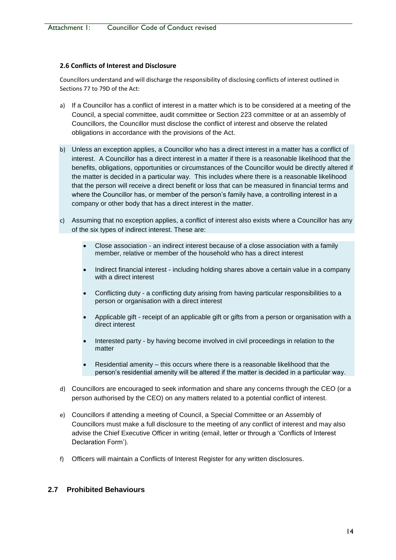#### **2.6 Conflicts of Interest and Disclosure**

Councillors understand and will discharge the responsibility of disclosing conflicts of interest outlined in Sections 77 to 79D of the Act:

- a) If a Councillor has a conflict of interest in a matter which is to be considered at a meeting of the Council, a special committee, audit committee or Section 223 committee or at an assembly of Councillors, the Councillor must disclose the conflict of interest and observe the related obligations in accordance with the provisions of the Act.
- b) Unless an exception applies, a Councillor who has a direct interest in a matter has a conflict of interest. A Councillor has a direct interest in a matter if there is a reasonable likelihood that the benefits, obligations, opportunities or circumstances of the Councillor would be directly altered if the matter is decided in a particular way. This includes where there is a reasonable likelihood that the person will receive a direct benefit or loss that can be measured in financial terms and where the Councillor has, or member of the person's family have, a controlling interest in a company or other body that has a direct interest in the matter.
- c) Assuming that no exception applies, a conflict of interest also exists where a Councillor has any of the six types of indirect interest. These are:
	- Close association an indirect interest because of a close association with a family member, relative or member of the household who has a direct interest
	- Indirect financial interest including holding shares above a certain value in a company with a direct interest
	- Conflicting duty a conflicting duty arising from having particular responsibilities to a person or organisation with a direct interest
	- Applicable gift receipt of an applicable gift or gifts from a person or organisation with a direct interest
	- Interested party by having become involved in civil proceedings in relation to the matter
	- Residential amenity this occurs where there is a reasonable likelihood that the person's residential amenity will be altered if the matter is decided in a particular way.
- d) Councillors are encouraged to seek information and share any concerns through the CEO (or a person authorised by the CEO) on any matters related to a potential conflict of interest.
- e) Councillors if attending a meeting of Council, a Special Committee or an Assembly of Councillors must make a full disclosure to the meeting of any conflict of interest and may also advise the Chief Executive Officer in writing (email, letter or through a 'Conflicts of Interest Declaration Form').
- f) Officers will maintain a Conflicts of Interest Register for any written disclosures.

#### **2.7 Prohibited Behaviours**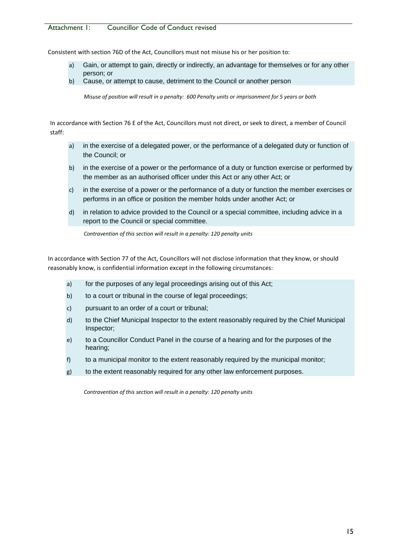#### Attachment 1: Councillor Code of Conduct revised

Consistent with section 76D of the Act, Councillors must not misuse his or her position to:

- a) Gain, or attempt to gain, directly or indirectly, an advantage for themselves or for any other person; or
- b) Cause, or attempt to cause, detriment to the Council or another person

*Misuse of position will result in a penalty: 600 Penalty units or imprisonment for 5 years or both*

In accordance with Section 76 E of the Act, Councillors must not direct, or seek to direct, a member of Council staff:

- a) in the exercise of a delegated power, or the performance of a delegated duty or function of the Council; or
- b) in the exercise of a power or the performance of a duty or function exercise or performed by the member as an authorised officer under this Act or any other Act; or
- c) in the exercise of a power or the performance of a duty or function the member exercises or performs in an office or position the member holds under another Act; or
- d) in relation to advice provided to the Council or a special committee, including advice in a report to the Council or special committee.

*Contravention of this section will result in a penalty: 120 penalty units* 

In accordance with Section 77 of the Act, Councillors will not disclose information that they know, or should reasonably know, is confidential information except in the following circumstances:

- a) for the purposes of any legal proceedings arising out of this Act;
- b) to a court or tribunal in the course of legal proceedings;
- c) pursuant to an order of a court or tribunal;
- d) to the Chief Municipal Inspector to the extent reasonably required by the Chief Municipal Inspector;
- e) to a Councillor Conduct Panel in the course of a hearing and for the purposes of the hearing;
- f) to a municipal monitor to the extent reasonably required by the municipal monitor;
- g) to the extent reasonably required for any other law enforcement purposes.

*Contravention of this section will result in a penalty: 120 penalty units*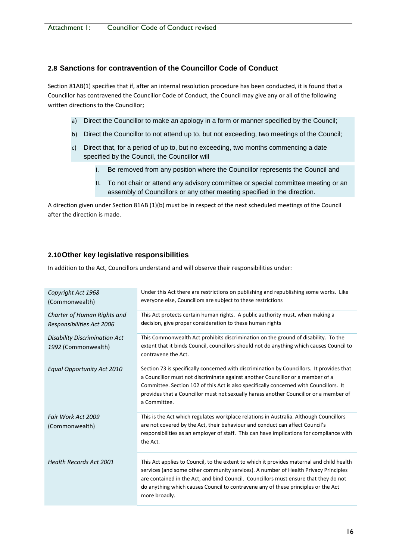### **2.8 Sanctions for contravention of the Councillor Code of Conduct**

Section 81AB(1) specifies that if, after an internal resolution procedure has been conducted, it is found that a Councillor has contravened the Councillor Code of Conduct, the Council may give any or all of the following written directions to the Councillor;

- a) Direct the Councillor to make an apology in a form or manner specified by the Council;
- b) Direct the Councillor to not attend up to, but not exceeding, two meetings of the Council;
- c) Direct that, for a period of up to, but no exceeding, two months commencing a date specified by the Council, the Councillor will
	- I. Be removed from any position where the Councillor represents the Council and
	- II. To not chair or attend any advisory committee or special committee meeting or an assembly of Councillors or any other meeting specified in the direction.

A direction given under Section 81AB (1)(b) must be in respect of the next scheduled meetings of the Council after the direction is made.

### **2.10Other key legislative responsibilities**

In addition to the Act, Councillors understand and will observe their responsibilities under:

| Copyright Act 1968<br>(Commonwealth)                        | Under this Act there are restrictions on publishing and republishing some works. Like<br>everyone else, Councillors are subject to these restrictions                                                                                                                                                                                                                          |
|-------------------------------------------------------------|--------------------------------------------------------------------------------------------------------------------------------------------------------------------------------------------------------------------------------------------------------------------------------------------------------------------------------------------------------------------------------|
| Charter of Human Rights and<br>Responsibilities Act 2006    | This Act protects certain human rights. A public authority must, when making a<br>decision, give proper consideration to these human rights                                                                                                                                                                                                                                    |
| <b>Disability Discrimination Act</b><br>1992 (Commonwealth) | This Commonwealth Act prohibits discrimination on the ground of disability. To the<br>extent that it binds Council, councillors should not do anything which causes Council to<br>contravene the Act.                                                                                                                                                                          |
| Equal Opportunity Act 2010                                  | Section 73 is specifically concerned with discrimination by Councillors. It provides that<br>a Councillor must not discriminate against another Councillor or a member of a<br>Committee. Section 102 of this Act is also specifically concerned with Councillors. It<br>provides that a Councillor must not sexually harass another Councillor or a member of<br>a Committee. |
| Fair Work Act 2009<br>(Commonwealth)                        | This is the Act which regulates workplace relations in Australia. Although Councillors<br>are not covered by the Act, their behaviour and conduct can affect Council's<br>responsibilities as an employer of staff. This can have implications for compliance with<br>the Act.                                                                                                 |
| <b>Health Records Act 2001</b>                              | This Act applies to Council, to the extent to which it provides maternal and child health<br>services (and some other community services). A number of Health Privacy Principles<br>are contained in the Act, and bind Council. Councillors must ensure that they do not<br>do anything which causes Council to contravene any of these principles or the Act<br>more broadly. |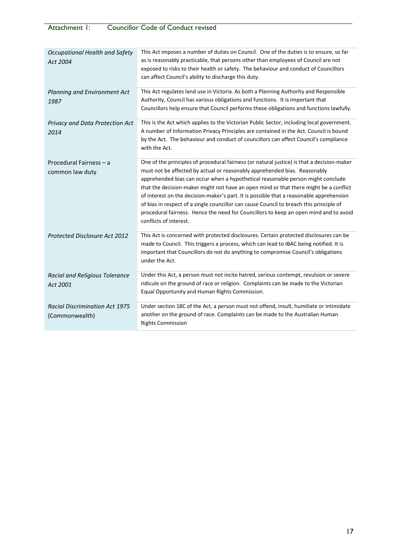| Occupational Health and Safety<br>Act 2004              | This Act imposes a number of duties on Council. One of the duties is to ensure, so far<br>as is reasonably practicable, that persons other than employees of Council are not<br>exposed to risks to their health or safety. The behaviour and conduct of Councillors<br>can affect Council's ability to discharge this duty.                                                                                                                                                                                                                                                                                                                                 |
|---------------------------------------------------------|--------------------------------------------------------------------------------------------------------------------------------------------------------------------------------------------------------------------------------------------------------------------------------------------------------------------------------------------------------------------------------------------------------------------------------------------------------------------------------------------------------------------------------------------------------------------------------------------------------------------------------------------------------------|
| Planning and Environment Act<br>1987                    | This Act regulates land use in Victoria. As both a Planning Authority and Responsible<br>Authority, Council has various obligations and functions. It is important that<br>Councillors help ensure that Council performs these obligations and functions lawfully.                                                                                                                                                                                                                                                                                                                                                                                           |
| Privacy and Data Protection Act<br>2014                 | This is the Act which applies to the Victorian Public Sector, including local government.<br>A number of Information Privacy Principles are contained in the Act. Council is bound<br>by the Act. The behaviour and conduct of councillors can affect Council's compliance<br>with the Act.                                                                                                                                                                                                                                                                                                                                                                  |
| Procedural Fairness - a<br>common law duty              | One of the principles of procedural fairness (or natural justice) is that a decision-maker<br>must not be affected by actual or reasonably apprehended bias. Reasonably<br>apprehended bias can occur when a hypothetical reasonable person might conclude<br>that the decision-maker might not have an open mind or that there might be a conflict<br>of interest on the decision-maker's part. It is possible that a reasonable apprehension<br>of bias in respect of a single councillor can cause Council to breach this principle of<br>procedural fairness. Hence the need for Councillors to keep an open mind and to avoid<br>conflicts of interest. |
| <b>Protected Disclosure Act 2012</b>                    | This Act is concerned with protected disclosures. Certain protected disclosures can be<br>made to Council. This triggers a process, which can lead to IBAC being notified. It is<br>important that Councillors do not do anything to compromise Council's obligations<br>under the Act.                                                                                                                                                                                                                                                                                                                                                                      |
| Racial and Religious Tolerance<br>Act 2001              | Under this Act, a person must not incite hatred, serious contempt, revulsion or severe<br>ridicule on the ground of race or religion. Complaints can be made to the Victorian<br>Equal Opportunity and Human Rights Commission.                                                                                                                                                                                                                                                                                                                                                                                                                              |
| <b>Racial Discrimination Act 1975</b><br>(Commonwealth) | Under section 18C of the Act, a person must not offend, insult, humiliate or intimidate<br>another on the ground of race. Complaints can be made to the Australian Human<br><b>Rights Commission</b>                                                                                                                                                                                                                                                                                                                                                                                                                                                         |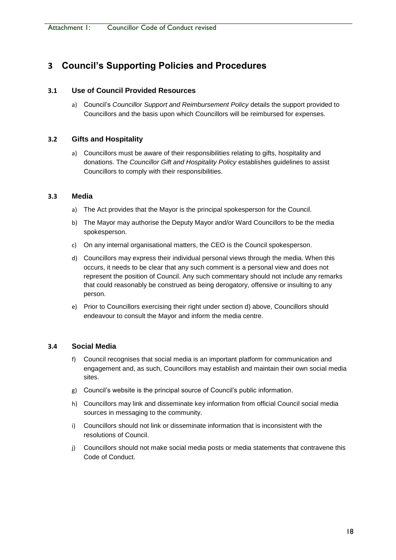## **3 Council's Supporting Policies and Procedures**

### **3.1 Use of Council Provided Resources**

a) Council's *Councillor Support and Reimbursement Policy* details the support provided to Councillors and the basis upon which Councillors will be reimbursed for expenses.

#### **3.2 Gifts and Hospitality**

a) Councillors must be aware of their responsibilities relating to gifts, hospitality and donations. The *Councillor Gift and Hospitality Policy* establishes guidelines to assist Councillors to comply with their responsibilities.

#### **3.3 Media**

- a) The Act provides that the Mayor is the principal spokesperson for the Council.
- b) The Mayor may authorise the Deputy Mayor and/or Ward Councillors to be the media spokesperson.
- c) On any internal organisational matters, the CEO is the Council spokesperson.
- d) Councillors may express their individual personal views through the media. When this occurs, it needs to be clear that any such comment is a personal view and does not represent the position of Council. Any such commentary should not include any remarks that could reasonably be construed as being derogatory, offensive or insulting to any person.
- e) Prior to Councillors exercising their right under section d) above, Councillors should endeavour to consult the Mayor and inform the media centre.

### **3.4 Social Media**

- f) Council recognises that social media is an important platform for communication and engagement and, as such, Councillors may establish and maintain their own social media sites.
- g) Council's website is the principal source of Council's public information.
- h) Councillors may link and disseminate key information from official Council social media sources in messaging to the community.
- i) Councillors should not link or disseminate information that is inconsistent with the resolutions of Council.
- j) Councillors should not make social media posts or media statements that contravene this Code of Conduct.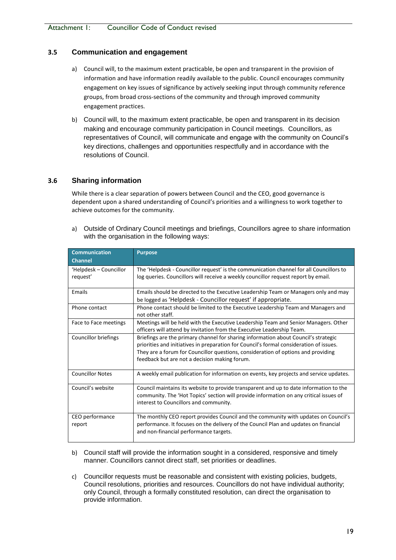#### **3.5 Communication and engagement**

- a) Council will, to the maximum extent practicable, be open and transparent in the provision of information and have information readily available to the public. Council encourages community engagement on key issues of significance by actively seeking input through community reference groups, from broad cross-sections of the community and through improved community engagement practices.
- b) Council will, to the maximum extent practicable, be open and transparent in its decision making and encourage community participation in Council meetings. Councillors, as representatives of Council, will communicate and engage with the community on Council's key directions, challenges and opportunities respectfully and in accordance with the resolutions of Council.

#### **3.6 Sharing information**

While there is a clear separation of powers between Council and the CEO, good governance is dependent upon a shared understanding of Council's priorities and a willingness to work together to achieve outcomes for the community.

a) Outside of Ordinary Council meetings and briefings, Councillors agree to share information with the organisation in the following ways:

| <b>Communication</b>    | <b>Purpose</b>                                                                                                                                                |
|-------------------------|---------------------------------------------------------------------------------------------------------------------------------------------------------------|
| <b>Channel</b>          |                                                                                                                                                               |
| 'Helpdesk – Councillor  | The 'Helpdesk - Councillor request' is the communication channel for all Councillors to                                                                       |
| request'                | log queries. Councillors will receive a weekly councillor request report by email.                                                                            |
| Emails                  | Emails should be directed to the Executive Leadership Team or Managers only and may                                                                           |
|                         | be logged as 'Helpdesk - Councillor request' if appropriate.                                                                                                  |
| Phone contact           | Phone contact should be limited to the Executive Leadership Team and Managers and<br>not other staff.                                                         |
| Face to Face meetings   | Meetings will be held with the Executive Leadership Team and Senior Managers. Other<br>officers will attend by invitation from the Executive Leadership Team. |
| Councillor briefings    | Briefings are the primary channel for sharing information about Council's strategic                                                                           |
|                         | priorities and initiatives in preparation for Council's formal consideration of issues.                                                                       |
|                         | They are a forum for Councillor questions, consideration of options and providing                                                                             |
|                         | feedback but are not a decision making forum.                                                                                                                 |
| <b>Councillor Notes</b> | A weekly email publication for information on events, key projects and service updates.                                                                       |
| Council's website       | Council maintains its website to provide transparent and up to date information to the                                                                        |
|                         | community. The 'Hot Topics' section will provide information on any critical issues of                                                                        |
|                         | interest to Councillors and community.                                                                                                                        |
| CEO performance         | The monthly CEO report provides Council and the community with updates on Council's                                                                           |
| report                  | performance. It focuses on the delivery of the Council Plan and updates on financial                                                                          |
|                         | and non-financial performance targets.                                                                                                                        |

- b) Council staff will provide the information sought in a considered, responsive and timely manner. Councillors cannot direct staff, set priorities or deadlines.
- c) Councillor requests must be reasonable and consistent with existing policies, budgets, Council resolutions, priorities and resources. Councillors do not have individual authority; only Council, through a formally constituted resolution, can direct the organisation to provide information.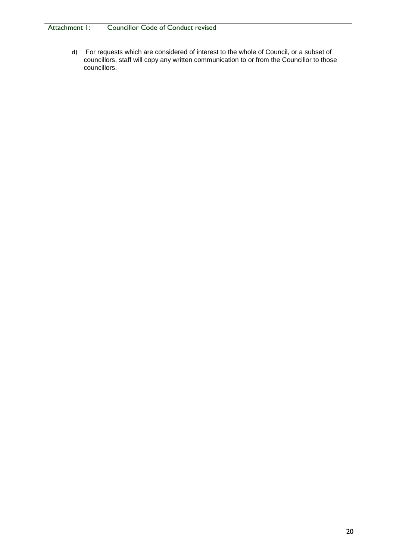### Attachment I: Councillor Code of Conduct revised

d) For requests which are considered of interest to the whole of Council, or a subset of councillors, staff will copy any written communication to or from the Councillor to those councillors.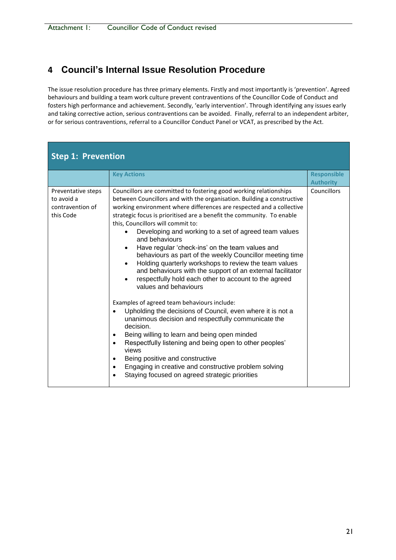## **4 Council's Internal Issue Resolution Procedure**

The issue resolution procedure has three primary elements. Firstly and most importantly is 'prevention'. Agreed behaviours and building a team work culture prevent contraventions of the Councillor Code of Conduct and fosters high performance and achievement. Secondly, 'early intervention'. Through identifying any issues early and taking corrective action, serious contraventions can be avoided. Finally, referral to an independent arbiter, or for serious contraventions, referral to a Councillor Conduct Panel or VCAT, as prescribed by the Act.

| <b>Step 1: Prevention</b>                                         |                                                                                                                                                                                                                                                                                                                                                                                                                                                                                                                                                                                                                                                                                                                                                                                                                                                                                                                                                                                                                                                                                                                                                                                                                                                                                    |                                        |  |
|-------------------------------------------------------------------|------------------------------------------------------------------------------------------------------------------------------------------------------------------------------------------------------------------------------------------------------------------------------------------------------------------------------------------------------------------------------------------------------------------------------------------------------------------------------------------------------------------------------------------------------------------------------------------------------------------------------------------------------------------------------------------------------------------------------------------------------------------------------------------------------------------------------------------------------------------------------------------------------------------------------------------------------------------------------------------------------------------------------------------------------------------------------------------------------------------------------------------------------------------------------------------------------------------------------------------------------------------------------------|----------------------------------------|--|
|                                                                   | <b>Key Actions</b>                                                                                                                                                                                                                                                                                                                                                                                                                                                                                                                                                                                                                                                                                                                                                                                                                                                                                                                                                                                                                                                                                                                                                                                                                                                                 | <b>Responsible</b><br><b>Authority</b> |  |
| Preventative steps<br>to avoid a<br>contravention of<br>this Code | Councillors are committed to fostering good working relationships<br>between Councillors and with the organisation. Building a constructive<br>working environment where differences are respected and a collective<br>strategic focus is prioritised are a benefit the community. To enable<br>this, Councillors will commit to:<br>Developing and working to a set of agreed team values<br>and behaviours<br>Have regular 'check-ins' on the team values and<br>$\bullet$<br>behaviours as part of the weekly Councillor meeting time<br>Holding quarterly workshops to review the team values<br>$\bullet$<br>and behaviours with the support of an external facilitator<br>respectfully hold each other to account to the agreed<br>values and behaviours<br>Examples of agreed team behaviours include:<br>Upholding the decisions of Council, even where it is not a<br>$\bullet$<br>unanimous decision and respectfully communicate the<br>decision.<br>Being willing to learn and being open minded<br>$\bullet$<br>Respectfully listening and being open to other peoples'<br>$\bullet$<br>views<br>Being positive and constructive<br>$\bullet$<br>Engaging in creative and constructive problem solving<br>$\bullet$<br>Staying focused on agreed strategic priorities | <b>Councillors</b>                     |  |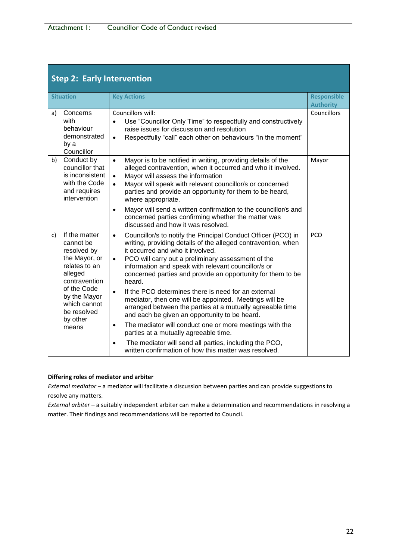| <b>Step 2: Early Intervention</b>                                                                                                                                                                |                                                                                                                                                                                                                                                                                                                                                                                                                                                                                                                                                                                                                                                                                                                                                                                                                                                                                 |                                        |  |
|--------------------------------------------------------------------------------------------------------------------------------------------------------------------------------------------------|---------------------------------------------------------------------------------------------------------------------------------------------------------------------------------------------------------------------------------------------------------------------------------------------------------------------------------------------------------------------------------------------------------------------------------------------------------------------------------------------------------------------------------------------------------------------------------------------------------------------------------------------------------------------------------------------------------------------------------------------------------------------------------------------------------------------------------------------------------------------------------|----------------------------------------|--|
| <b>Situation</b>                                                                                                                                                                                 | <b>Key Actions</b>                                                                                                                                                                                                                                                                                                                                                                                                                                                                                                                                                                                                                                                                                                                                                                                                                                                              | <b>Responsible</b><br><b>Authority</b> |  |
| Concerns<br>a)<br>with<br>behaviour<br>demonstrated<br>by a<br>Councillor                                                                                                                        | Councillors will:<br>Use "Councillor Only Time" to respectfully and constructively<br>$\bullet$<br>raise issues for discussion and resolution<br>Respectfully "call" each other on behaviours "in the moment"<br>$\bullet$                                                                                                                                                                                                                                                                                                                                                                                                                                                                                                                                                                                                                                                      | Councillors                            |  |
| Conduct by<br>b)<br>councillor that<br>is inconsistent<br>with the Code<br>and requires<br>intervention                                                                                          | Mayor is to be notified in writing, providing details of the<br>$\bullet$<br>alleged contravention, when it occurred and who it involved.<br>Mayor will assess the information<br>$\bullet$<br>Mayor will speak with relevant councillor/s or concerned<br>$\bullet$<br>parties and provide an opportunity for them to be heard,<br>where appropriate.<br>Mayor will send a written confirmation to the councillor/s and<br>$\bullet$<br>concerned parties confirming whether the matter was<br>discussed and how it was resolved.                                                                                                                                                                                                                                                                                                                                              | Mayor                                  |  |
| If the matter<br>c)<br>cannot be<br>resolved by<br>the Mayor, or<br>relates to an<br>alleged<br>contravention<br>of the Code<br>by the Mayor<br>which cannot<br>be resolved<br>by other<br>means | Councillor/s to notify the Principal Conduct Officer (PCO) in<br>$\bullet$<br>writing, providing details of the alleged contravention, when<br>it occurred and who it involved.<br>PCO will carry out a preliminary assessment of the<br>$\bullet$<br>information and speak with relevant councillor/s or<br>concerned parties and provide an opportunity for them to be<br>heard.<br>If the PCO determines there is need for an external<br>$\bullet$<br>mediator, then one will be appointed. Meetings will be<br>arranged between the parties at a mutually agreeable time<br>and each be given an opportunity to be heard.<br>The mediator will conduct one or more meetings with the<br>$\bullet$<br>parties at a mutually agreeable time.<br>The mediator will send all parties, including the PCO,<br>$\bullet$<br>written confirmation of how this matter was resolved. | PCO                                    |  |

#### **Differing roles of mediator and arbiter**

*External mediator* – a mediator will facilitate a discussion between parties and can provide suggestions to resolve any matters.

*External arbiter* – a suitably independent arbiter can make a determination and recommendations in resolving a matter. Their findings and recommendations will be reported to Council.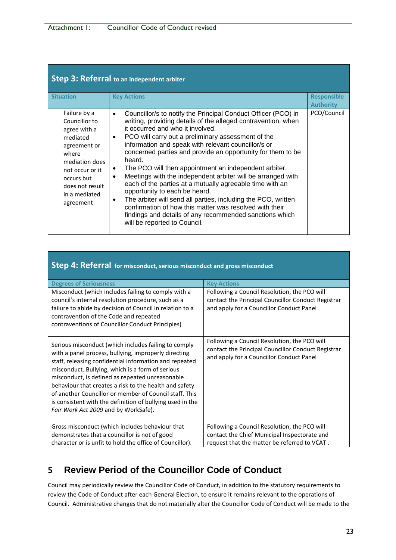| <b>Step 3: Referral to an independent arbiter</b>                                                                                                                                      |                                                                                                                                                                                                                                                                                                                                                                                                                                                                                                                                                                                                                                                                                                                                                                                                                                                       |                                        |  |
|----------------------------------------------------------------------------------------------------------------------------------------------------------------------------------------|-------------------------------------------------------------------------------------------------------------------------------------------------------------------------------------------------------------------------------------------------------------------------------------------------------------------------------------------------------------------------------------------------------------------------------------------------------------------------------------------------------------------------------------------------------------------------------------------------------------------------------------------------------------------------------------------------------------------------------------------------------------------------------------------------------------------------------------------------------|----------------------------------------|--|
| <b>Situation</b>                                                                                                                                                                       | <b>Key Actions</b>                                                                                                                                                                                                                                                                                                                                                                                                                                                                                                                                                                                                                                                                                                                                                                                                                                    | <b>Responsible</b><br><b>Authority</b> |  |
| Failure by a<br>Councillor to<br>agree with a<br>mediated<br>agreement or<br>where<br>mediation does<br>not occur or it<br>occurs but<br>does not result<br>in a mediated<br>agreement | Councillor/s to notify the Principal Conduct Officer (PCO) in<br>$\bullet$<br>writing, providing details of the alleged contravention, when<br>it occurred and who it involved.<br>PCO will carry out a preliminary assessment of the<br>$\bullet$<br>information and speak with relevant councillor/s or<br>concerned parties and provide an opportunity for them to be<br>heard.<br>The PCO will then appointment an independent arbiter.<br>٠<br>Meetings with the independent arbiter will be arranged with<br>$\bullet$<br>each of the parties at a mutually agreeable time with an<br>opportunity to each be heard.<br>The arbiter will send all parties, including the PCO, written<br>٠<br>confirmation of how this matter was resolved with their<br>findings and details of any recommended sanctions which<br>will be reported to Council. | PCO/Council                            |  |

| Step 4: Referral for misconduct, serious misconduct and gross misconduct                                                                                                                                                                                                                                                                                                                                                                                                                               |                                                                                                                                                |  |  |
|--------------------------------------------------------------------------------------------------------------------------------------------------------------------------------------------------------------------------------------------------------------------------------------------------------------------------------------------------------------------------------------------------------------------------------------------------------------------------------------------------------|------------------------------------------------------------------------------------------------------------------------------------------------|--|--|
| <b>Degrees of Seriousness</b>                                                                                                                                                                                                                                                                                                                                                                                                                                                                          | <b>Key Actions</b>                                                                                                                             |  |  |
| Misconduct (which includes failing to comply with a<br>council's internal resolution procedure, such as a<br>failure to abide by decision of Council in relation to a<br>contravention of the Code and repeated<br>contraventions of Councillor Conduct Principles)                                                                                                                                                                                                                                    | Following a Council Resolution, the PCO will<br>contact the Principal Councillor Conduct Registrar<br>and apply for a Councillor Conduct Panel |  |  |
| Serious misconduct (which includes failing to comply<br>with a panel process, bullying, improperly directing<br>staff, releasing confidential information and repeated<br>misconduct. Bullying, which is a form of serious<br>misconduct, is defined as repeated unreasonable<br>behaviour that creates a risk to the health and safety<br>of another Councillor or member of Council staff. This<br>is consistent with the definition of bullying used in the<br>Fair Work Act 2009 and by WorkSafe). | Following a Council Resolution, the PCO will<br>contact the Principal Councillor Conduct Registrar<br>and apply for a Councillor Conduct Panel |  |  |
| Gross misconduct (which includes behaviour that                                                                                                                                                                                                                                                                                                                                                                                                                                                        | Following a Council Resolution, the PCO will                                                                                                   |  |  |
| demonstrates that a councillor is not of good                                                                                                                                                                                                                                                                                                                                                                                                                                                          | contact the Chief Municipal Inspectorate and                                                                                                   |  |  |
| character or is unfit to hold the office of Councillor).                                                                                                                                                                                                                                                                                                                                                                                                                                               | request that the matter be referred to VCAT.                                                                                                   |  |  |

## **5 Review Period of the Councillor Code of Conduct**

Council may periodically review the Councillor Code of Conduct, in addition to the statutory requirements to review the Code of Conduct after each General Election, to ensure it remains relevant to the operations of Council. Administrative changes that do not materially alter the Councillor Code of Conduct will be made to the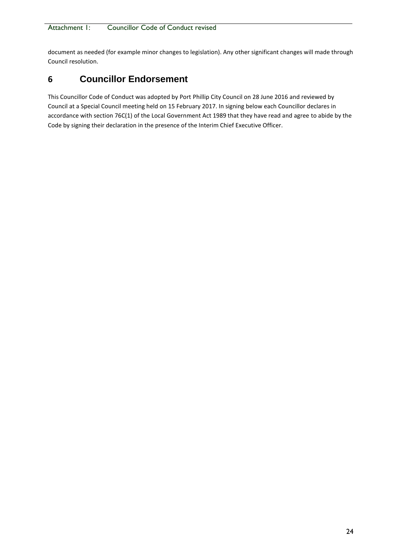document as needed (for example minor changes to legislation). Any other significant changes will made through Council resolution.

## **6 Councillor Endorsement**

This Councillor Code of Conduct was adopted by Port Phillip City Council on 28 June 2016 and reviewed by Council at a Special Council meeting held on 15 February 2017. In signing below each Councillor declares in accordance with section 76C(1) of the Local Government Act 1989 that they have read and agree to abide by the Code by signing their declaration in the presence of the Interim Chief Executive Officer.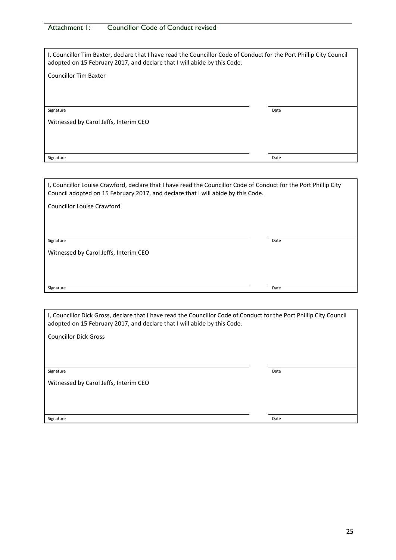### Attachment I: Councillor Code of Conduct revised

| I, Councillor Tim Baxter, declare that I have read the Councillor Code of Conduct for the Port Phillip City Council<br>adopted on 15 February 2017, and declare that I will abide by this Code. |      |  |
|-------------------------------------------------------------------------------------------------------------------------------------------------------------------------------------------------|------|--|
| <b>Councillor Tim Baxter</b>                                                                                                                                                                    |      |  |
|                                                                                                                                                                                                 |      |  |
|                                                                                                                                                                                                 |      |  |
| Signature                                                                                                                                                                                       | Date |  |
| Witnessed by Carol Jeffs, Interim CEO                                                                                                                                                           |      |  |
|                                                                                                                                                                                                 |      |  |
|                                                                                                                                                                                                 |      |  |
| Signature                                                                                                                                                                                       | Date |  |

I, Councillor Louise Crawford, declare that I have read the Councillor Code of Conduct for the Port Phillip City Council adopted on 15 February 2017, and declare that I will abide by this Code.

Councillor Louise Crawford

**Signature Date** 

Witnessed by Carol Jeffs, Interim CEO

Signature **Date** 

| I, Councillor Dick Gross, declare that I have read the Councillor Code of Conduct for the Port Phillip City Council<br>adopted on 15 February 2017, and declare that I will abide by this Code. |      |  |
|-------------------------------------------------------------------------------------------------------------------------------------------------------------------------------------------------|------|--|
| <b>Councillor Dick Gross</b>                                                                                                                                                                    |      |  |
|                                                                                                                                                                                                 |      |  |
|                                                                                                                                                                                                 |      |  |
| Signature                                                                                                                                                                                       | Date |  |
| Witnessed by Carol Jeffs, Interim CEO                                                                                                                                                           |      |  |
|                                                                                                                                                                                                 |      |  |
|                                                                                                                                                                                                 |      |  |
| Signature                                                                                                                                                                                       | Date |  |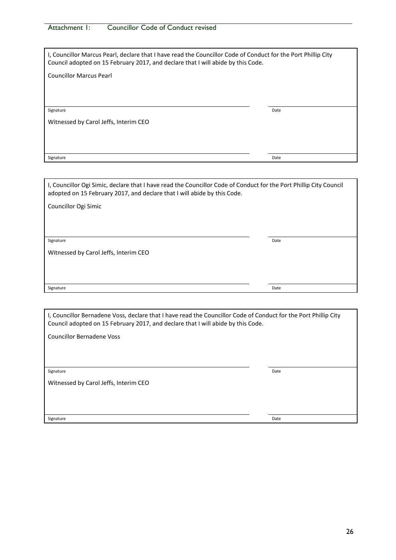| Attachment 1: | <b>Councillor Code of Conduct revised</b> |
|---------------|-------------------------------------------|
|               |                                           |

| I, Councillor Marcus Pearl, declare that I have read the Councillor Code of Conduct for the Port Phillip City<br>Council adopted on 15 February 2017, and declare that I will abide by this Code. |      |  |
|---------------------------------------------------------------------------------------------------------------------------------------------------------------------------------------------------|------|--|
| <b>Councillor Marcus Pearl</b>                                                                                                                                                                    |      |  |
|                                                                                                                                                                                                   |      |  |
|                                                                                                                                                                                                   |      |  |
| Signature                                                                                                                                                                                         | Date |  |
| Witnessed by Carol Jeffs, Interim CEO                                                                                                                                                             |      |  |
|                                                                                                                                                                                                   |      |  |
|                                                                                                                                                                                                   |      |  |
| Signature                                                                                                                                                                                         | Date |  |

I, Councillor Ogi Simic, declare that I have read the Councillor Code of Conduct for the Port Phillip City Council adopted on 15 February 2017, and declare that I will abide by this Code.

Councillor Ogi Simic

**Signature Date** 

Witnessed by Carol Jeffs, Interim CEO

Signature **Date** 

| I, Councillor Bernadene Voss, declare that I have read the Councillor Code of Conduct for the Port Phillip City<br>Council adopted on 15 February 2017, and declare that I will abide by this Code. |      |  |
|-----------------------------------------------------------------------------------------------------------------------------------------------------------------------------------------------------|------|--|
| Councillor Bernadene Voss                                                                                                                                                                           |      |  |
|                                                                                                                                                                                                     |      |  |
|                                                                                                                                                                                                     |      |  |
| Signature                                                                                                                                                                                           | Date |  |
| Witnessed by Carol Jeffs, Interim CEO                                                                                                                                                               |      |  |
|                                                                                                                                                                                                     |      |  |
|                                                                                                                                                                                                     |      |  |
| Signature                                                                                                                                                                                           | Date |  |